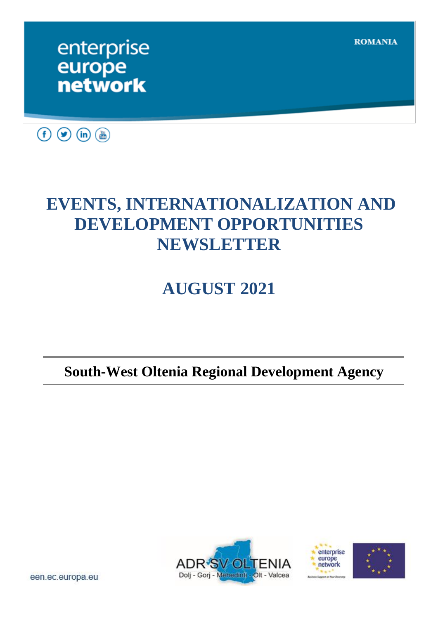**ROMANIA** 

## enterprise europe **network**



## **EVENTS, INTERNATIONALIZATION AND DEVELOPMENT OPPORTUNITIES NEWSLETTER**

# **AUGUST 2021**

## **South-West Oltenia Regional Development Agency**





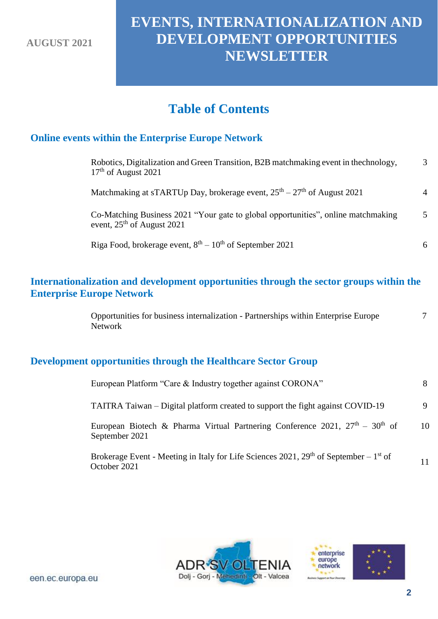## **EVENTS, INTERNATIONALIZATION AND DEVELOPMENT OPPORTUNITIES NEWSLETTER**

## **Table of Contents**

## **Online events within the Enterprise Europe Network**

| Robotics, Digitalization and Green Transition, B2B matchmaking event in the chnology,<br>$17th$ of August 2021    | $\mathcal{F}$  |
|-------------------------------------------------------------------------------------------------------------------|----------------|
| Matchmaking at sTARTUp Day, brokerage event, $25th - 27th$ of August 2021                                         | 4              |
| Co-Matching Business 2021 "Your gate to global opportunities", online matchmaking<br>event, $25th$ of August 2021 | $\overline{5}$ |
| Riga Food, brokerage event, $8th - 10th$ of September 2021                                                        | 6              |

#### **Internationalization and development opportunities through the sector groups within the Enterprise Europe Network**

Opportunities for business internalization - Partnerships within Enterprise Europe Network 7

#### **Development opportunities through the Healthcare Sector Group**

| European Platform "Care & Industry together against CORONA"                                                                   | 8  |
|-------------------------------------------------------------------------------------------------------------------------------|----|
| TAITRA Taiwan – Digital platform created to support the fight against COVID-19                                                | 9  |
| European Biotech & Pharma Virtual Partnering Conference 2021, $27th - 30th$ of<br>September 2021                              | 10 |
| Brokerage Event - Meeting in Italy for Life Sciences 2021, 29 <sup>th</sup> of September – 1 <sup>st</sup> of<br>October 2021 | 11 |



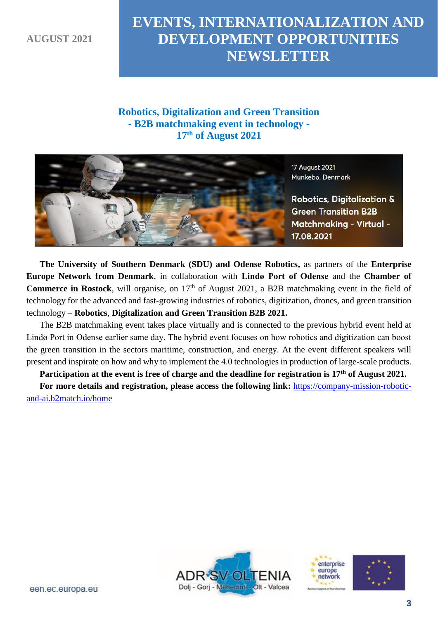## **EVENTS, INTERNATIONALIZATION AND DEVELOPMENT OPPORTUNITIES NEWSLETTER**

#### **Robotics, Digitalization and Green Transition - B2B matchmaking event in technology - 17th of August 2021**



**The University of Southern Denmark (SDU) and Odense Robotics,** as partners of the **Enterprise Europe Network from Denmark**, in collaboration with **Lindø Port of Odense** and the **Chamber of Commerce in Rostock**, will organise, on 17<sup>th</sup> of August 2021, a B2B matchmaking event in the field of technology for the advanced and fast-growing industries of robotics, digitization, drones, and green transition technology – **Robotics**, **Digitalization and Green Transition B2B 2021.**

The B2B matchmaking event takes place virtually and is connected to the previous hybrid event held at Lindø Port in Odense earlier same day. The hybrid event focuses on how robotics and digitization can boost the green transition in the sectors maritime, construction, and energy. At the event different speakers will present and inspirate on how and why to implement the 4.0 technologies in production of large-scale products.

**Participation at the event is free of charge and the deadline for registration is 17th of August 2021.**

**For more details and registration, please access the following link:** [https://company-mission-robotic](https://company-mission-robotic-and-ai.b2match.io/home)[and-ai.b2match.io/home](https://company-mission-robotic-and-ai.b2match.io/home)





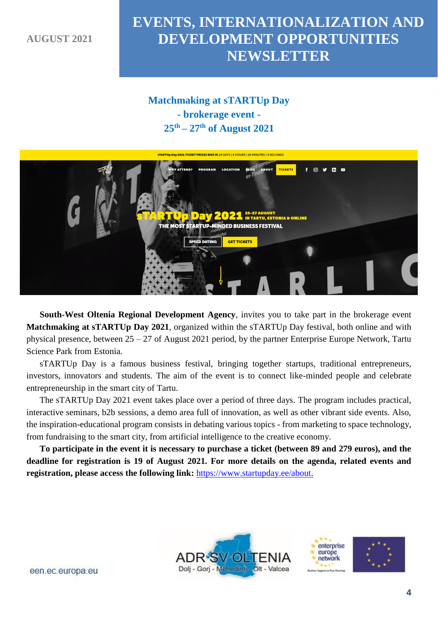## **EVENTS, INTERNATIONALIZATION AND DEVELOPMENT OPPORTUNITIES NEWSLETTER**

#### **Matchmaking at sTARTUp Day - brokerage event - 25th – 27th of August 2021**



**South-West Oltenia Regional Development Agency**, invites you to take part in the brokerage event **Matchmaking at sTARTUp Day 2021**, organized within the sTARTUp Day festival, both online and with physical presence, between 25 – 27 of August 2021 period, by the partner Enterprise Europe Network, Tartu Science Park from Estonia.

sTARTUp Day is a famous business festival, bringing together startups, traditional entrepreneurs, investors, innovators and students. The aim of the event is to connect like-minded people and celebrate entrepreneurship in the smart city of Tartu.

The sTARTUp Day 2021 event takes place over a period of three days. The program includes practical, interactive seminars, b2b sessions, a demo area full of innovation, as well as other vibrant side events. Also, the inspiration-educational program consists in debating various topics - from marketing to space technology, from fundraising to the smart city, from artificial intelligence to the creative economy.

**To participate in the event it is necessary to purchase a ticket (between 89 and 279 euros), and the deadline for registration is 19 of August 2021. For more details on the agenda, related events and registration, please access the following link:** [https://www.startupday.ee/about.](https://www.startupday.ee/about)





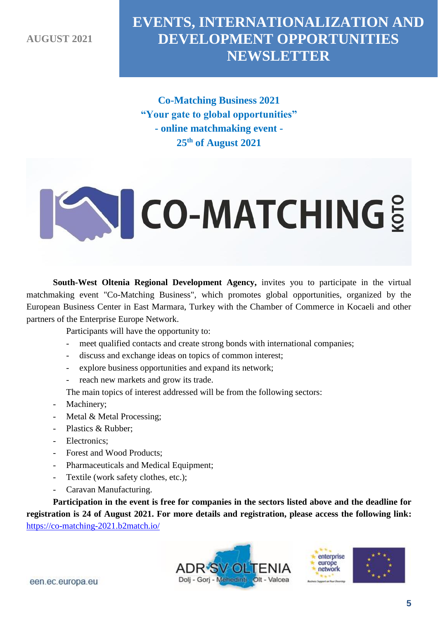## **EVENTS, INTERNATIONALIZATION AND DEVELOPMENT OPPORTUNITIES NEWSLETTER**

**Co-Matching Business 2021 "Your gate to global opportunities" - online matchmaking event - 25th of August 2021**

# **CO-MATCHING**

**South-West Oltenia Regional Development Agency,** invites you to participate in the virtual matchmaking event "Co-Matching Business", which promotes global opportunities, organized by the European Business Center in East Marmara, Turkey with the Chamber of Commerce in Kocaeli and other partners of the Enterprise Europe Network.

Participants will have the opportunity to:

- meet qualified contacts and create strong bonds with international companies;
- discuss and exchange ideas on topics of common interest;
- explore business opportunities and expand its network;
- reach new markets and grow its trade.

The main topics of interest addressed will be from the following sectors:

- Machinery;
- Metal & Metal Processing;
- Plastics & Rubber;
- Electronics;
- Forest and Wood Products;
- Pharmaceuticals and Medical Equipment;
- Textile (work safety clothes, etc.);
- Caravan Manufacturing.

**Participation in the event is free for companies in the sectors listed above and the deadline for registration is 24 of August 2021. For more details and registration, please access the following link:** <https://co-matching-2021.b2match.io/>



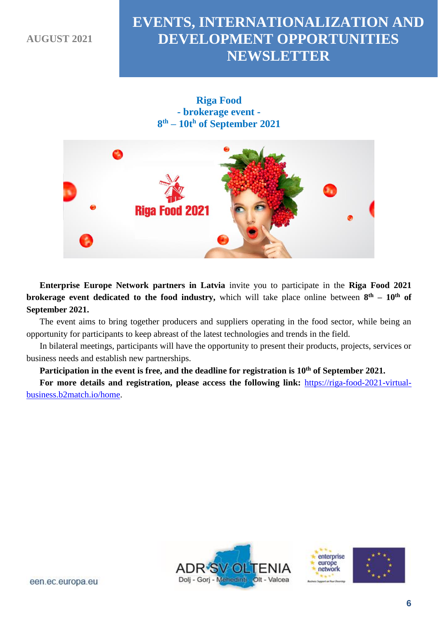## **EVENTS, INTERNATIONALIZATION AND DEVELOPMENT OPPORTUNITIES NEWSLETTER**





**Enterprise Europe Network partners in Latvia** invite you to participate in the **Riga Food 2021 brokerage event dedicated to the food industry,** which will take place online between  $8<sup>th</sup> - 10<sup>th</sup>$  of **September 2021.**

The event aims to bring together producers and suppliers operating in the food sector, while being an opportunity for participants to keep abreast of the latest technologies and trends in the field.

In bilateral meetings, participants will have the opportunity to present their products, projects, services or business needs and establish new partnerships.

**Participation in the event is free, and the deadline for registration is 10th of September 2021.**

**For more details and registration, please access the following link:** [https://riga-food-2021-virtual](https://riga-food-2021-virtual-business.b2match.io/home)[business.b2match.io/home.](https://riga-food-2021-virtual-business.b2match.io/home)



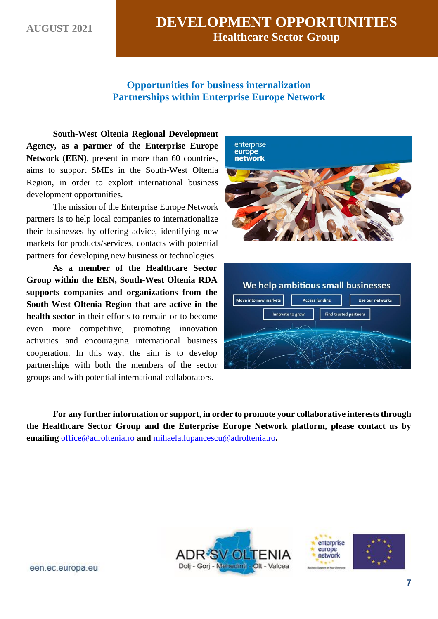#### **Opportunities for business internalization Partnerships within Enterprise Europe Network**

**South-West Oltenia Regional Development Agency, as a partner of the Enterprise Europe**  Network (EEN), present in more than 60 countries, aims to support SMEs in the South-West Oltenia Region, in order to exploit international business development opportunities.

The mission of the Enterprise Europe Network partners is to help local companies to internationalize their businesses by offering advice, identifying new markets for products/services, contacts with potential partners for developing new business or technologies.

**As a member of the Healthcare Sector Group within the EEN, South-West Oltenia RDA supports companies and organizations from the South-West Oltenia Region that are active in the health sector** in their efforts to remain or to become even more competitive, promoting innovation activities and encouraging international business cooperation. In this way, the aim is to develop partnerships with both the members of the sector groups and with potential international collaborators.





**For any further information or support, in order to promote your collaborative interests through the Healthcare Sector Group and the Enterprise Europe Network platform, please contact us by emailing** [office@adroltenia.ro](mailto:office@adroltenia.ro) **and** [mihaela.lupancescu@adroltenia.ro](mailto:mihaela.lupancescu@adroltenia.ro)**.**





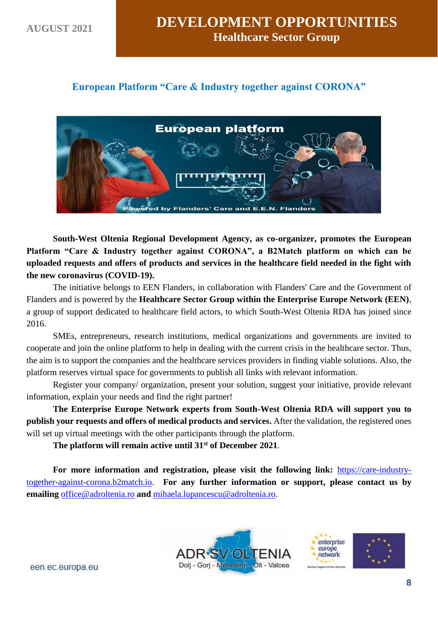#### **European Platform "Care & Industry together against CORONA"**



**South-West Oltenia Regional Development Agency, as co-organizer, promotes the European Platform "Care & Industry together against CORONA", a B2Match platform on which can be uploaded requests and offers of products and services in the healthcare field needed in the fight with the new coronavirus (COVID-19).**

The initiative belongs to EEN Flanders, in collaboration with Flanders' Care and the Government of Flanders and is powered by the **Healthcare Sector Group within the Enterprise Europe Network (EEN)**, a group of support dedicated to healthcare field actors, to which South-West Oltenia RDA has joined since 2016.

SMEs, entrepreneurs, research institutions, medical organizations and governments are invited to cooperate and join the online platform to help in dealing with the current crisis in the healthcare sector. Thus, the aim is to support the companies and the healthcare services providers in finding viable solutions. Also, the platform reserves virtual space for governments to publish all links with relevant information.

Register your company/ organization, present your solution, suggest your initiative, provide relevant information, explain your needs and find the right partner!

**The Enterprise Europe Network experts from South-West Oltenia RDA will support you to publish your requests and offers of medical products and services.** After the validation, the registered ones will set up virtual meetings with the other participants through the platform.

**The platform will remain active until 31st of December 2021**.

**For more information and registration, please visit the following link:** [https://care-industry](https://care-industry-together-against-corona.b2match.io/)[together-against-corona.b2match.io.](https://care-industry-together-against-corona.b2match.io/) **For any further information or support, please contact us by emailing** [office@adroltenia.ro](mailto:office@adroltenia.ro) **and** [mihaela.lupancescu@adroltenia.ro.](mailto:mihaela.lupancescu@adroltenia.ro)



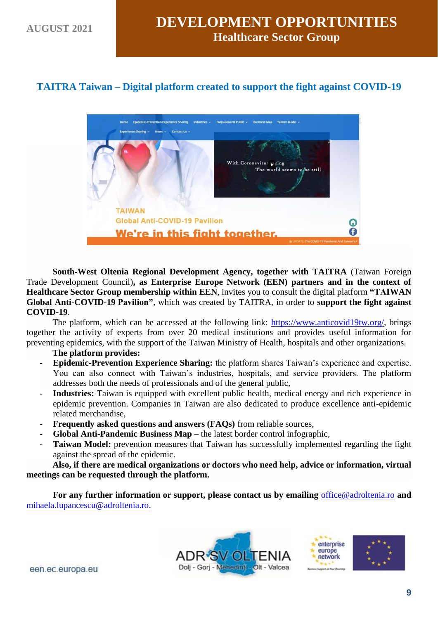#### **TAITRA Taiwan – Digital platform created to support the fight against COVID-19**



**South-West Oltenia Regional Development Agency, together with TAITRA** (Taiwan Foreign Trade Development Council)**, as Enterprise Europe Network (EEN) partners and in the context of Healthcare Sector Group membership within EEN**, invites you to consult the digital platform **"TAIWAN Global Anti-COVID-19 Pavilion"**, which was created by TAITRA, in order to **support the fight against COVID-19**.

The platform, which can be accessed at the following link: [https://www.anticovid19tw.org/,](https://www.anticovid19tw.org/) brings together the activity of experts from over 20 medical institutions and provides useful information for preventing epidemics, with the support of the Taiwan Ministry of Health, hospitals and other organizations.

#### **The platform provides:**

- **Epidemic-Prevention Experience Sharing:** the platform shares Taiwan's experience and expertise. You can also connect with Taiwan's industries, hospitals, and service providers. The platform addresses both the needs of professionals and of the general public,
- **Industries:** Taiwan is equipped with excellent public health, medical energy and rich experience in epidemic prevention. Companies in Taiwan are also dedicated to produce excellence anti-epidemic related merchandise,
- **Frequently asked questions and answers (FAQs)** from reliable sources,
- **Global Anti-Pandemic Business Map –** the latest border control infographic,
- Taiwan Model: prevention measures that Taiwan has successfully implemented regarding the fight against the spread of the epidemic.

**Also, if there are medical organizations or doctors who need help, advice or information, virtual meetings can be requested through the platform.**

**For any further information or support, please contact us by emailing** [office@adroltenia.ro](mailto:office@adroltenia.ro) **and** [mihaela.lupancescu@adroltenia.ro.](mailto:mihaela.lupancescu@adroltenia.ro)



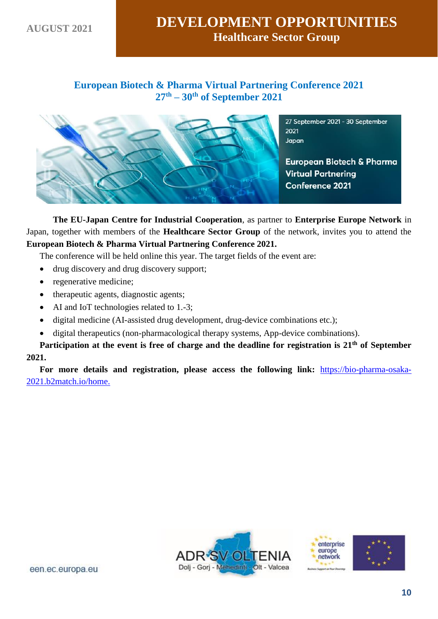#### **European Biotech & Pharma Virtual Partnering Conference 2021 27th – 30th of September 2021**



27 September 2021 - 30 September 2021 Japan

**European Biotech & Pharma Virtual Partnering Conference 2021** 

**The EU-Japan Centre for Industrial Cooperation**, as partner to **Enterprise Europe Network** in Japan, together with members of the **Healthcare Sector Group** of the network, invites you to attend the **European Biotech & Pharma Virtual Partnering Conference 2021.**

The conference will be held online this year. The target fields of the event are:

- drug discovery and drug discovery support;
- regenerative medicine;
- therapeutic agents, diagnostic agents;
- AI and IoT technologies related to 1.-3;
- digital medicine (AI-assisted drug development, drug-device combinations etc.);
- digital therapeutics (non-pharmacological therapy systems, App-device combinations).

**Participation at the event is free of charge and the deadline for registration is 21th of September 2021.**

**For more details and registration, please access the following link:** [https://bio-pharma-osaka-](https://bio-pharma-osaka-2021.b2match.io/home)[2021.b2match.io/home.](https://bio-pharma-osaka-2021.b2match.io/home)



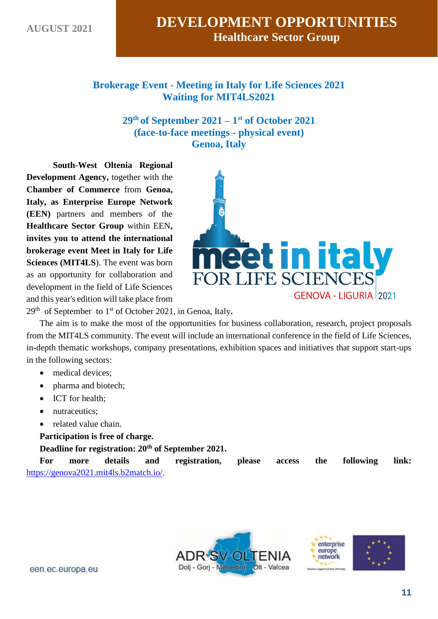**Brokerage Event - Meeting in Italy for Life Sciences 2021 Waiting for MIT4LS2021** 

> **29th of September 2021 – 1 st of October 2021 (face-to-face meetings - physical event) Genoa, Italy**

**South-West Oltenia Regional Development Agency,** together with the **Chamber of Commerce** from **Genoa, Italy, as Enterprise Europe Network (EEN)** partners and members of the **Healthcare Sector Group** within EEN**, invites you to attend the international brokerage event Meet in Italy for Life Sciences (MIT4LS**). The event was born as an opportunity for collaboration and development in the field of Life Sciences and this year's edition will take place from



29th of September to 1st of October 2021, in Genoa, Italy**.**

The aim is to make the most of the opportunities for business collaboration, research, project proposals from the MIT4LS community. The event will include an international conference in the field of Life Sciences, in-depth thematic workshops, company presentations, exhibition spaces and initiatives that support start-ups in the following sectors:

- medical devices;
- pharma and biotech:
- ICT for health:
- nutraceutics:
- related value chain.
- **Participation is free of charge.**

**Deadline for registration: 20th of September 2021.**

**For more details and registration, please access the following link:**  [https://genova2021.mit4ls.b2match.io/.](https://genova2021.mit4ls.b2match.io/)